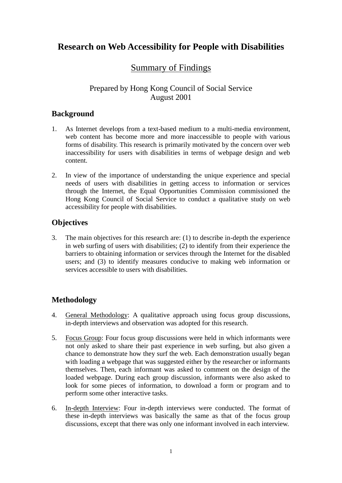# **Research on Web Accessibility for People with Disabilities**

# Summary of Findings

## Prepared by Hong Kong Council of Social Service August 2001

#### **Background**

- 1. As Internet develops from a text-based medium to a multi-media environment, web content has become more and more inaccessible to people with various forms of disability. This research is primarily motivated by the concern over web inaccessibility for users with disabilities in terms of webpage design and web content.
- 2. In view of the importance of understanding the unique experience and special needs of users with disabilities in getting access to information or services through the Internet, the Equal Opportunities Commission commissioned the Hong Kong Council of Social Service to conduct a qualitative study on web accessibility for people with disabilities.

### **Objectives**

3. The main objectives for this research are: (1) to describe in-depth the experience in web surfing of users with disabilities; (2) to identify from their experience the barriers to obtaining information or services through the Internet for the disabled users; and (3) to identify measures conducive to making web information or services accessible to users with disabilities.

## **Methodology**

- 4. General Methodology: A qualitative approach using focus group discussions, in-depth interviews and observation was adopted for this research.
- 5. Focus Group: Four focus group discussions were held in which informants were not only asked to share their past experience in web surfing, but also given a chance to demonstrate how they surf the web. Each demonstration usually began with loading a webpage that was suggested either by the researcher or informants themselves. Then, each informant was asked to comment on the design of the loaded webpage. During each group discussion, informants were also asked to look for some pieces of information, to download a form or program and to perform some other interactive tasks.
- 6. In-depth Interview: Four in-depth interviews were conducted. The format of these in-depth interviews was basically the same as that of the focus group discussions, except that there was only one informant involved in each interview.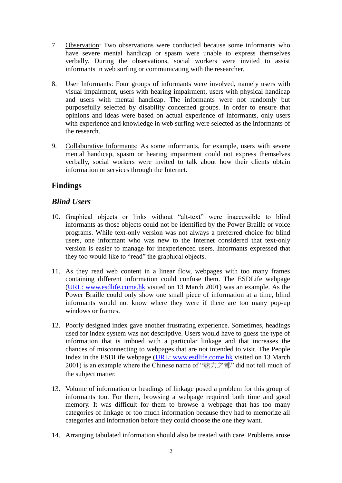- 7. Observation: Two observations were conducted because some informants who have severe mental handicap or spasm were unable to express themselves verbally. During the observations, social workers were invited to assist informants in web surfing or communicating with the researcher.
- 8. User Informants: Four groups of informants were involved, namely users with visual impairment, users with hearing impairment, users with physical handicap and users with mental handicap. The informants were not randomly but purposefully selected by disability concerned groups. In order to ensure that opinions and ideas were based on actual experience of informants, only users with experience and knowledge in web surfing were selected as the informants of the research.
- 9. Collaborative Informants: As some informants, for example, users with severe mental handicap, spasm or hearing impairment could not express themselves verbally, social workers were invited to talk about how their clients obtain information or services through the Internet.

## **Findings**

# *Blind Users*

- 10. Graphical objects or links without "alt-text" were inaccessible to blind informants as those objects could not be identified by the Power Braille or voice programs. While text-only version was not always a preferred choice for blind users, one informant who was new to the Internet considered that text-only version is easier to manage for inexperienced users. Informants expressed that they too would like to "read" the graphical objects.
- 11. As they read web content in a linear flow, webpages with too many frames containing different information could confuse them. The ESDLife webpage [\(URL: www.esdlife.come.hk](ww.esdlife.come.hk) visited on 13 March 2001) was an example. As the Power Braille could only show one small piece of information at a time, blind informants would not know where they were if there are too many pop-up windows or frames.
- 12. Poorly designed index gave another frustrating experience. Sometimes, headings used for index system was not descriptive. Users would have to guess the type of information that is imbued with a particular linkage and that increases the chances of misconnecting to webpages that are not intended to visit. The People Index in the ESDLife webpage [\(URL: www.esdlife.come.hk](ww.esdlife.come.hk) visited on 13 March 2001) is an example where the Chinese name of "魅力之都" did not tell much of the subject matter.
- 13. Volume of information or headings of linkage posed a problem for this group of informants too. For them, browsing a webpage required both time and good memory. It was difficult for them to browse a webpage that has too many categories of linkage or too much information because they had to memorize all categories and information before they could choose the one they want.
- 14. Arranging tabulated information should also be treated with care. Problems arose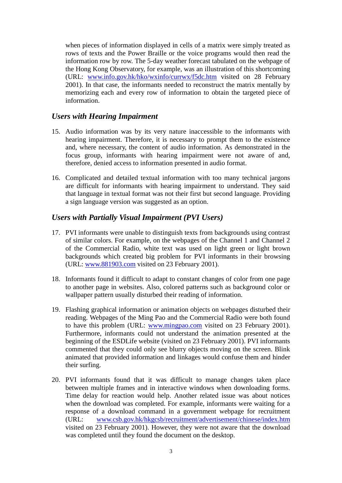when pieces of information displayed in cells of a matrix were simply treated as rows of texts and the Power Braille or the voice programs would then read the information row by row. The 5-day weather forecast tabulated on the webpage of the Hong Kong Observatory, for example, was an illustration of this shortcoming (URL: [www.info.gov.hk/hko/wxinfo/currwx/f5dc.htm](http://www.info.gov.hk/hko/wxinfo/currwx/f5dc.htm) visited on 28 February 2001). In that case, the informants needed to reconstruct the matrix mentally by memorizing each and every row of information to obtain the targeted piece of information.

#### *Users with Hearing Impairment*

- 15. Audio information was by its very nature inaccessible to the informants with hearing impairment. Therefore, it is necessary to prompt them to the existence and, where necessary, the content of audio information. As demonstrated in the focus group, informants with hearing impairment were not aware of and, therefore, denied access to information presented in audio format.
- 16. Complicated and detailed textual information with too many technical jargons are difficult for informants with hearing impairment to understand. They said that language in textual format was not their first but second language. Providing a sign language version was suggested as an option.

#### *Users with Partially Visual Impairment (PVI Users)*

- 17. PVI informants were unable to distinguish texts from backgrounds using contrast of similar colors. For example, on the webpages of the Channel 1 and Channel 2 of the Commercial Radio, white text was used on light green or light brown backgrounds which created big problem for PVI informants in their browsing (URL: [www.881903.com](http://www.881903.com/) visited on 23 February 2001).
- 18. Informants found it difficult to adapt to constant changes of color from one page to another page in websites. Also, colored patterns such as background color or wallpaper pattern usually disturbed their reading of information.
- 19. Flashing graphical information or animation objects on webpages disturbed their reading. Webpages of the Ming Pao and the Commercial Radio were both found to have this problem (URL: [www.mingpao.com](http://www.mingpao.com/) visited on 23 February 2001). Furthermore, informants could not understand the animation presented at the beginning of the ESDLife website (visited on 23 February 2001). PVI informants commented that they could only see blurry objects moving on the screen. Blink animated that provided information and linkages would confuse them and hinder their surfing.
- 20. PVI informants found that it was difficult to manage changes taken place between multiple frames and in interactive windows when downloading forms. Time delay for reaction would help. Another related issue was about notices when the download was completed. For example, informants were waiting for a response of a download command in a government webpage for recruitment (URL: [www.csb.gov.hk/hkgcsb/recruitment/advertisement/chinese/index.htm](http://www.csb.gov.hk/hkgcsb/chin_ver/cindex.htm) visited on 23 February 2001). However, they were not aware that the download was completed until they found the document on the desktop.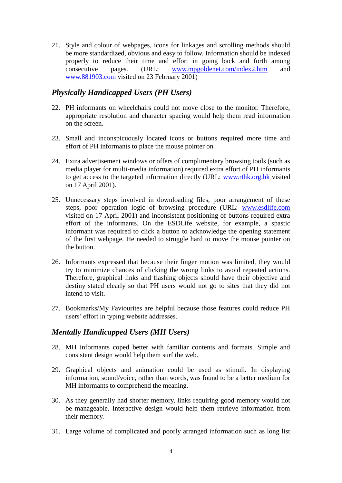21. Style and colour of webpages, icons for linkages and scrolling methods should be more standardized, obvious and easy to follow. Information should be indexed properly to reduce their time and effort in going back and forth among consecutive pages. (URL: [www.mpgoldenet.com/index2.htm](http://www.mpgoldenet.com/index2.htm) and [www.881903.com](http://www.881903.com/) visited on 23 February 2001)

### *Physically Handicapped Users (PH Users)*

- 22. PH informants on wheelchairs could not move close to the monitor. Therefore, appropriate resolution and character spacing would help them read information on the screen.
- 23. Small and inconspicuously located icons or buttons required more time and effort of PH informants to place the mouse pointer on.
- 24. Extra advertisement windows or offers of complimentary browsing tools (such as media player for multi-media information) required extra effort of PH informants to get access to the targeted information directly (URL: [www.rthk.org.hk](http://www.rthk.org.hk/) visited on 17 April 2001).
- 25. Unnecessary steps involved in downloading files, poor arrangement of these steps, poor operation logic of browsing procedure (URL: [www.esdlife.com](http://www.esdlife.com/) visited on 17 April 2001) and inconsistent positioning of buttons required extra effort of the informants. On the ESDLife website, for example, a spastic informant was required to click a button to acknowledge the opening statement of the first webpage. He needed to struggle hard to move the mouse pointer on the button.
- 26. Informants expressed that because their finger motion was limited, they would try to minimize chances of clicking the wrong links to avoid repeated actions. Therefore, graphical links and flashing objects should have their objective and destiny stated clearly so that PH users would not go to sites that they did not intend to visit.
- 27. Bookmarks/My Faviourites are helpful because those features could reduce PH users' effort in typing website addresses.

#### *Mentally Handicapped Users (MH Users)*

- 28. MH informants coped better with familiar contents and formats. Simple and consistent design would help them surf the web.
- 29. Graphical objects and animation could be used as stimuli. In displaying information, sound/voice, rather than words, was found to be a better medium for MH informants to comprehend the meaning.
- 30. As they generally had shorter memory, links requiring good memory would not be manageable. Interactive design would help them retrieve information from their memory.
- 31. Large volume of complicated and poorly arranged information such as long list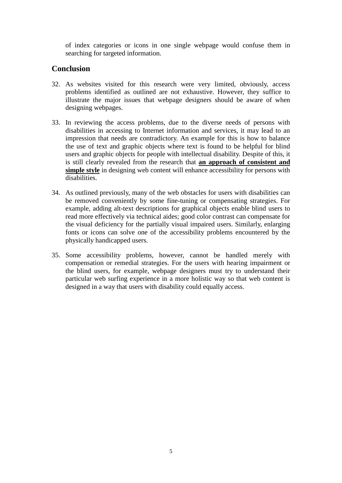of index categories or icons in one single webpage would confuse them in searching for targeted information.

### **Conclusion**

- 32. As websites visited for this research were very limited, obviously, access problems identified as outlined are not exhaustive. However, they suffice to illustrate the major issues that webpage designers should be aware of when designing webpages.
- 33. In reviewing the access problems, due to the diverse needs of persons with disabilities in accessing to Internet information and services, it may lead to an impression that needs are contradictory. An example for this is how to balance the use of text and graphic objects where text is found to be helpful for blind users and graphic objects for people with intellectual disability. Despite of this, it is still clearly revealed from the research that **an approach of consistent and simple style** in designing web content will enhance accessibility for persons with disabilities.
- 34. As outlined previously, many of the web obstacles for users with disabilities can be removed conveniently by some fine-tuning or compensating strategies. For example, adding alt-text descriptions for graphical objects enable blind users to read more effectively via technical aides; good color contrast can compensate for the visual deficiency for the partially visual impaired users. Similarly, enlarging fonts or icons can solve one of the accessibility problems encountered by the physically handicapped users.
- 35. Some accessibility problems, however, cannot be handled merely with compensation or remedial strategies. For the users with hearing impairment or the blind users, for example, webpage designers must try to understand their particular web surfing experience in a more holistic way so that web content is designed in a way that users with disability could equally access.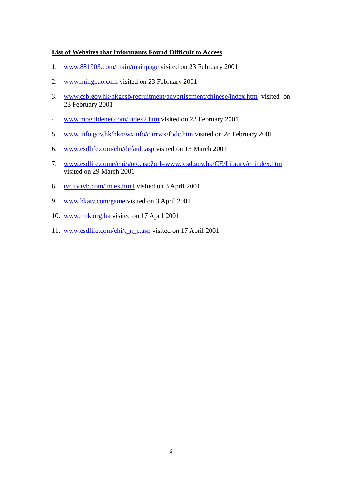#### **List of Websites that Informants Found Difficult to Access**

- 1. [www.881903.com/main/mainpage](http://www.881903.com/) visited on 23 February 2001
- 2. [www.mingpao.com](http://www.mingpao.com/) visited on 23 February 2001
- 3. [www.csb.gov.hk/hkgcsb/recruitment/advertisement/chinese/index.htm](http://www.csb.gov.hk/hkgcsb/chin_ver/cindex.htm) visited on 23 February 2001
- 4. [www.mpgoldenet.com/index2.htm](http://www.mpgoldenet.com/index2.htm) visited on 23 February 2001
- 5. [www.info.gov.hk/hko/wxinfo/currwx/f5dc.htm](http://www.info.gov.hk/hko/wxinfo/currwx/f5dc.htm) visited on 28 February 2001
- 6. [www.esdlife.com/chi/default.asp](ww.esdlife.come.hk) visited on 13 March 2001
- 7. [www.esdlife.come/chi/goto.asp?url=www.lcsd.gov.hk/CE/Library/c\\_index.htm](http://www.esdlife.come/chi/goto.asp?url=www.lcsd.gov.hk/CE/Library/c_index.htm) visited on 29 March 2001
- 8. [tvcity.tvb.com/index.html](http://www.tvcity.tvb.com/index.html) visited on 3 April 2001
- 9. [www.hkatv.com/game](http://www.hkatv.com/game) visited on 3 April 2001
- 10. [www.rthk.org.hk](http://www.rthk.org.hk/) visited on 17 April 2001
- 11. [www.esdlife.com/chi/t\\_n\\_c.asp](http://www.esdlife.com/chi/t_n_c.asp) visited on 17 April 2001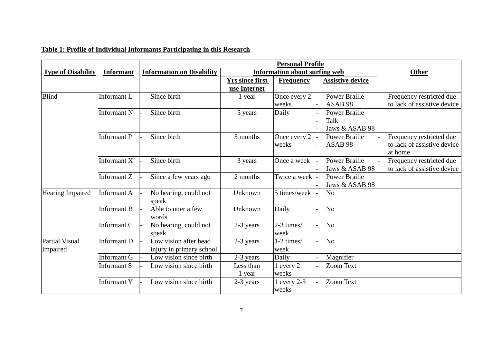|                                               |                    | <b>Personal Profile</b> |                                  |                                      |                  |  |                         |  |                             |
|-----------------------------------------------|--------------------|-------------------------|----------------------------------|--------------------------------------|------------------|--|-------------------------|--|-----------------------------|
| <b>Type of Disability</b><br><b>Informant</b> |                    |                         | <b>Information on Disability</b> | <b>Information about surfing web</b> |                  |  |                         |  | <b>Other</b>                |
|                                               |                    |                         |                                  | <b>Yrs since first</b>               | <b>Frequency</b> |  | <b>Assistive device</b> |  |                             |
|                                               |                    |                         |                                  | use Internet                         |                  |  |                         |  |                             |
| <b>Blind</b>                                  | Informant L        |                         | Since birth                      | 1 year                               | Once every 2     |  | <b>Power Braille</b>    |  | Frequency restricted due    |
|                                               |                    |                         |                                  |                                      | weeks            |  | ASAB <sub>98</sub>      |  | to lack of assistive device |
|                                               | Informant N        |                         | Since birth                      | 5 years                              | Daily            |  | <b>Power Braille</b>    |  |                             |
|                                               |                    |                         |                                  |                                      |                  |  | Talk                    |  |                             |
|                                               |                    |                         |                                  |                                      |                  |  | Jaws & ASAB 98          |  |                             |
|                                               | <b>Informant P</b> |                         | Since birth                      | 3 months                             | Once every 2     |  | <b>Power Braille</b>    |  | Frequency restricted due    |
|                                               |                    |                         |                                  |                                      | weeks            |  | ASAB <sub>98</sub>      |  | to lack of assistive device |
|                                               |                    |                         |                                  |                                      |                  |  |                         |  | at home                     |
|                                               | Informant X        |                         | Since birth                      | 3 years                              | Once a week      |  | <b>Power Braille</b>    |  | Frequency restricted due    |
|                                               |                    |                         |                                  |                                      |                  |  | Jaws & ASAB 98          |  | to lack of assistive device |
|                                               | Informant Z        |                         | Since a few years ago            | 2 months                             | Twice a week     |  | <b>Power Braille</b>    |  |                             |
|                                               |                    |                         |                                  |                                      |                  |  | Jaws & ASAB 98          |  |                             |
| <b>Hearing Impaired</b>                       | Informant A        |                         | No hearing, could not            | Unknown                              | 5 times/week     |  | N <sub>o</sub>          |  |                             |
|                                               |                    |                         | speak                            |                                      |                  |  |                         |  |                             |
|                                               | <b>Informant B</b> |                         | Able to utter a few              | Unknown                              | Daily            |  | N <sub>o</sub>          |  |                             |
|                                               |                    |                         | words                            |                                      |                  |  |                         |  |                             |
|                                               | Informant C        |                         | No hearing, could not            | 2-3 years                            | $2-3$ times/     |  | N <sub>o</sub>          |  |                             |
|                                               |                    |                         | speak                            |                                      | week             |  |                         |  |                             |
| Partial Visual                                | Informant D        |                         | Low vision after head            | 2-3 years                            | $1-2 \times$     |  | N <sub>o</sub>          |  |                             |
| Impaired                                      |                    |                         | injury in primary school         |                                      | week             |  |                         |  |                             |
|                                               | Informant G        |                         | Low vision since birth           | 2-3 years                            | Daily            |  | Magnifier               |  |                             |
|                                               | Informant S        |                         | Low vision since birth           | Less than                            | 1 every 2        |  | <b>Zoom Text</b>        |  |                             |
|                                               |                    |                         |                                  | 1 year                               | weeks            |  |                         |  |                             |
|                                               | <b>Informant Y</b> |                         | Low vision since birth           | 2-3 years                            | $1$ every $2-3$  |  | <b>Zoom Text</b>        |  |                             |
|                                               |                    |                         |                                  |                                      | weeks            |  |                         |  |                             |

# **Table 1: Profile of Individual Informants Participating in this Research**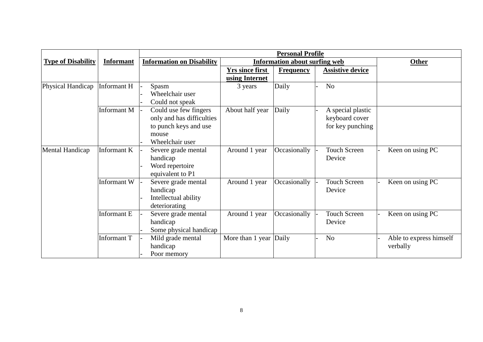|                           |                  | <b>Personal Profile</b>          |                        |                                      |                         |                         |  |
|---------------------------|------------------|----------------------------------|------------------------|--------------------------------------|-------------------------|-------------------------|--|
| <b>Type of Disability</b> | <b>Informant</b> | <b>Information on Disability</b> |                        | <b>Information about surfing web</b> | <b>Other</b>            |                         |  |
|                           |                  |                                  | <b>Yrs since first</b> | <b>Frequency</b>                     | <b>Assistive device</b> |                         |  |
|                           |                  |                                  | using Internet         |                                      |                         |                         |  |
| Physical Handicap         | Informant H      | Spasm                            | 3 years                | Daily                                | No                      |                         |  |
|                           |                  | Wheelchair user                  |                        |                                      |                         |                         |  |
|                           |                  | Could not speak                  |                        |                                      |                         |                         |  |
|                           | Informant M      | Could use few fingers            | About half year        | Daily                                | A special plastic       |                         |  |
|                           |                  | only and has difficulties        |                        |                                      | keyboard cover          |                         |  |
|                           |                  | to punch keys and use            |                        |                                      | for key punching        |                         |  |
|                           |                  | mouse                            |                        |                                      |                         |                         |  |
|                           |                  | Wheelchair user                  |                        |                                      |                         |                         |  |
| <b>Mental Handicap</b>    | Informant K      | Severe grade mental              | Around 1 year          | Occasionally                         | <b>Touch Screen</b>     | Keen on using PC        |  |
|                           |                  | handicap                         |                        |                                      | Device                  |                         |  |
|                           |                  | Word repertoire                  |                        |                                      |                         |                         |  |
|                           |                  | equivalent to P1                 |                        |                                      |                         |                         |  |
|                           | Informant W      | Severe grade mental              | Around 1 year          | Occasionally                         | <b>Touch Screen</b>     | Keen on using PC        |  |
|                           |                  | handicap                         |                        |                                      | Device                  |                         |  |
|                           |                  | Intellectual ability             |                        |                                      |                         |                         |  |
|                           |                  | deteriorating                    |                        |                                      |                         |                         |  |
|                           | Informant E      | Severe grade mental              | Around 1 year          | Occasionally                         | <b>Touch Screen</b>     | Keen on using PC        |  |
|                           |                  | handicap                         |                        |                                      | Device                  |                         |  |
|                           |                  | Some physical handicap           |                        |                                      |                         |                         |  |
|                           | Informant T      | Mild grade mental                | More than 1 year Daily |                                      | N <sub>o</sub>          | Able to express himself |  |
|                           |                  | handicap                         |                        |                                      |                         | verbally                |  |
|                           |                  | Poor memory                      |                        |                                      |                         |                         |  |